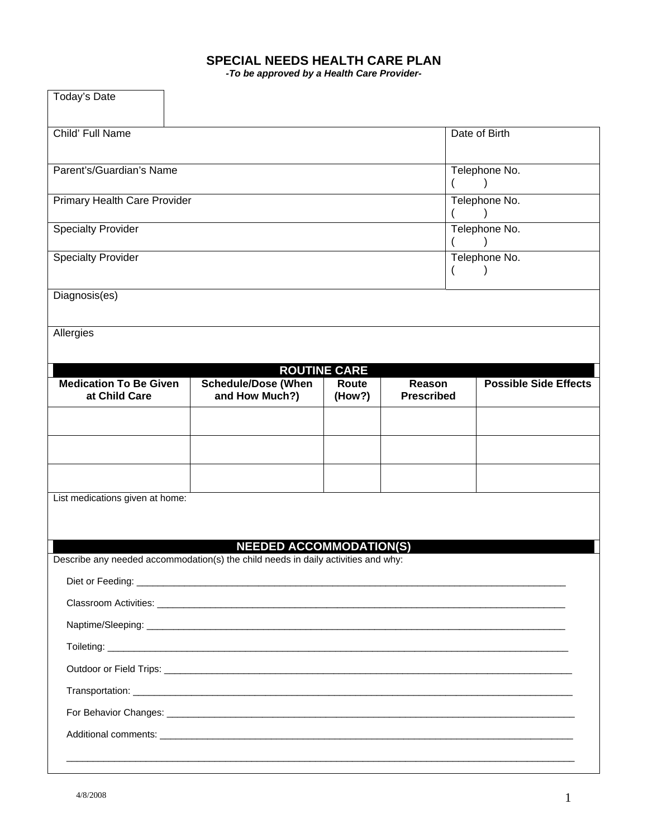## **SPECIAL NEEDS HEALTH CARE PLAN**

*-To be approved by a Health Care Provider-*

| Today's Date                                   |                                                                                   |                     |                             |                              |  |
|------------------------------------------------|-----------------------------------------------------------------------------------|---------------------|-----------------------------|------------------------------|--|
| Child' Full Name                               |                                                                                   |                     |                             | Date of Birth                |  |
|                                                |                                                                                   |                     |                             |                              |  |
| Parent's/Guardian's Name                       |                                                                                   |                     |                             | Telephone No.                |  |
| Primary Health Care Provider                   |                                                                                   |                     |                             | Telephone No.                |  |
|                                                |                                                                                   |                     |                             |                              |  |
| <b>Specialty Provider</b>                      |                                                                                   |                     |                             | Telephone No.                |  |
| <b>Specialty Provider</b>                      |                                                                                   |                     |                             | Telephone No.                |  |
|                                                |                                                                                   |                     |                             |                              |  |
| Diagnosis(es)                                  |                                                                                   |                     |                             |                              |  |
| Allergies                                      |                                                                                   |                     |                             |                              |  |
|                                                |                                                                                   |                     |                             |                              |  |
|                                                |                                                                                   | <b>ROUTINE CARE</b> |                             |                              |  |
| <b>Medication To Be Given</b><br>at Child Care | <b>Schedule/Dose (When</b><br>and How Much?)                                      | Route<br>(How?)     | Reason<br><b>Prescribed</b> | <b>Possible Side Effects</b> |  |
|                                                |                                                                                   |                     |                             |                              |  |
|                                                |                                                                                   |                     |                             |                              |  |
|                                                |                                                                                   |                     |                             |                              |  |
|                                                |                                                                                   |                     |                             |                              |  |
| List medications given at home:                |                                                                                   |                     |                             |                              |  |
|                                                |                                                                                   |                     |                             |                              |  |
|                                                | <b>NEEDED ACCOMMODATION(S)</b>                                                    |                     |                             |                              |  |
|                                                | Describe any needed accommodation(s) the child needs in daily activities and why: |                     |                             |                              |  |
|                                                |                                                                                   |                     |                             |                              |  |
|                                                |                                                                                   |                     |                             |                              |  |
|                                                |                                                                                   |                     |                             |                              |  |
|                                                |                                                                                   |                     |                             |                              |  |
|                                                |                                                                                   |                     |                             |                              |  |
|                                                |                                                                                   |                     |                             |                              |  |
|                                                |                                                                                   |                     |                             |                              |  |
|                                                |                                                                                   |                     |                             |                              |  |
|                                                |                                                                                   |                     |                             |                              |  |
|                                                |                                                                                   |                     |                             |                              |  |